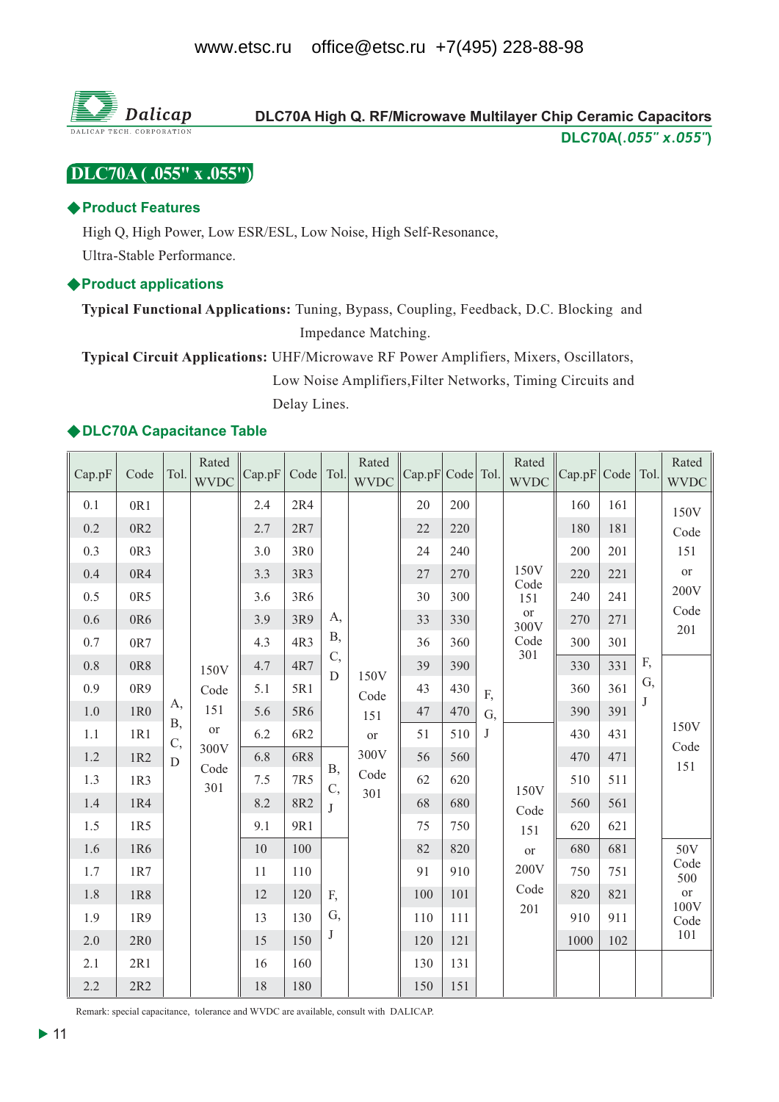

# DLC70A (.055" x .055")

### ♦ Product Features

High Q, High Power, Low ESR/ESL, Low Noise, High Self-Resonance, Ultra-Stable Performance.

#### ♦ Product applications

Typical Functional Applications: Tuning, Bypass, Coupling, Feedback, D.C. Blocking and Impedance Matching.

Typical Circuit Applications: UHF/Microwave RF Power Amplifiers, Mixers, Oscillators, Low Noise Amplifiers, Filter Networks, Timing Circuits and Delay Lines.

### ◆ DLC70A Capacitance Table

| Cap.pF                                                                                                              | Code                                                                                                                | Tol.                        | Rated<br><b>WVDC</b>                             | Cap.pF                                                                                                            | Code   Tol.                                                                                                                     |                                              | Rated<br><b>WVDC</b>                                    | Cap.pF                                                                                             | Code Tol.                                                                                                           |                          | Rated<br><b>WVDC</b>                                                                                  | Cap.pF                                                                                                              | Code Tol.                                                                                                           |               | Rated<br><b>WVDC</b>                                                                          |
|---------------------------------------------------------------------------------------------------------------------|---------------------------------------------------------------------------------------------------------------------|-----------------------------|--------------------------------------------------|-------------------------------------------------------------------------------------------------------------------|---------------------------------------------------------------------------------------------------------------------------------|----------------------------------------------|---------------------------------------------------------|----------------------------------------------------------------------------------------------------|---------------------------------------------------------------------------------------------------------------------|--------------------------|-------------------------------------------------------------------------------------------------------|---------------------------------------------------------------------------------------------------------------------|---------------------------------------------------------------------------------------------------------------------|---------------|-----------------------------------------------------------------------------------------------|
| 0.1<br>0.2<br>0.3<br>0.4<br>0.5<br>0.6<br>0.7<br>0.8<br>0.9<br>1.0<br>1.1<br>1.2<br>1.3<br>1.4<br>1.5<br>1.6<br>1.7 | 0R1<br>0R2<br>0R3<br>0R4<br>0R5<br>0R6<br>0R7<br>0R8<br>0R9<br>1R0<br>1R1<br>1R2<br>1R3<br>1R4<br>1R5<br>1R6<br>1R7 | А,<br><b>B</b> ,<br>C,<br>D | 150V<br>Code<br>151<br>or<br>300V<br>Code<br>301 | 2.4<br>2.7<br>3.0<br>3.3<br>3.6<br>3.9<br>4.3<br>4.7<br>5.1<br>5.6<br>6.2<br>6.8<br>7.5<br>8.2<br>9.1<br>10<br>11 | 2R4<br>2R7<br>3R <sub>0</sub><br>3R3<br>3R6<br>3R9<br>4R3<br>4R7<br>5R1<br>5R6<br>6R2<br>6R8<br>7R5<br>8R2<br>9R1<br>100<br>110 | A,<br>B,<br>C,<br>D<br><b>B</b> ,<br>C,<br>J | 150V<br>Code<br>151<br><b>or</b><br>300V<br>Code<br>301 | 20<br>22<br>24<br>27<br>30<br>33<br>36<br>39<br>43<br>47<br>51<br>56<br>62<br>68<br>75<br>82<br>91 | 200<br>220<br>240<br>270<br>300<br>330<br>360<br>390<br>430<br>470<br>510<br>560<br>620<br>680<br>750<br>820<br>910 | F,<br>G,<br>$\mathbf{J}$ | 150V<br>Code<br>151<br>$\hbox{or}\hbox{}$<br>300V<br>Code<br>301<br>150V<br>Code<br>151<br>or<br>200V | 160<br>180<br>200<br>220<br>240<br>270<br>300<br>330<br>360<br>390<br>430<br>470<br>510<br>560<br>620<br>680<br>750 | 161<br>181<br>201<br>221<br>241<br>271<br>301<br>331<br>361<br>391<br>431<br>471<br>511<br>561<br>621<br>681<br>751 | F,<br>G,<br>J | 150V<br>Code<br>151<br>or<br>200V<br>Code<br>201<br>150V<br>Code<br>151<br>50V<br>Code<br>500 |
| 1.8<br>1.9<br>2.0                                                                                                   | 1R8<br>1R9<br>2R0                                                                                                   |                             |                                                  | 12<br>13<br>15                                                                                                    | 120<br>130<br>150                                                                                                               | F,<br>G,<br>J                                |                                                         | 100<br>110<br>120                                                                                  | 101<br>111<br>121                                                                                                   |                          | Code<br>201                                                                                           | 820<br>910<br>1000                                                                                                  | 821<br>911<br>102                                                                                                   |               | <b>or</b><br>100V<br>Code<br>101                                                              |
| 2.1<br>2.2                                                                                                          | 2R1<br>2R2                                                                                                          |                             |                                                  | 16<br>18                                                                                                          | 160<br>180                                                                                                                      |                                              |                                                         | 130<br>150                                                                                         | 131<br>151                                                                                                          |                          |                                                                                                       |                                                                                                                     |                                                                                                                     |               |                                                                                               |

Remark: special capacitance, tolerance and WVDC are available, consult with DALICAP.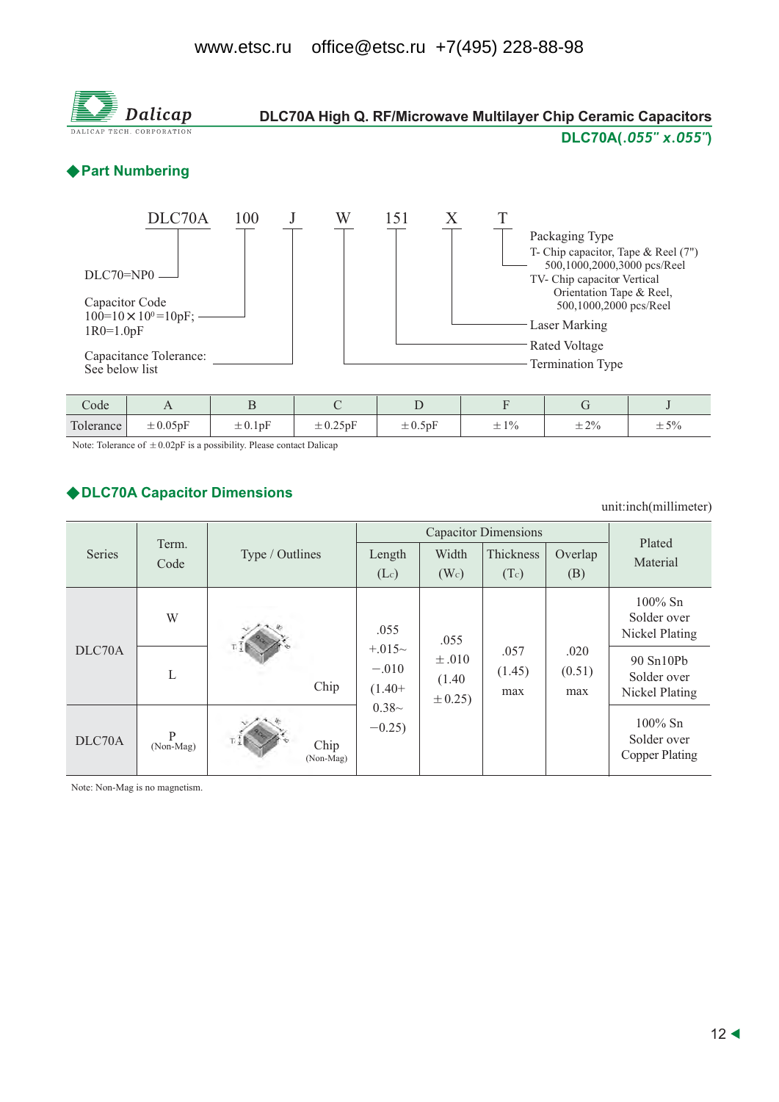#### office@etsc.ru +7(495) 228-88-98 www.etsc.ru



| code                 |                 |                                                 |                  |              |                                   |                                   |                   |
|----------------------|-----------------|-------------------------------------------------|------------------|--------------|-----------------------------------|-----------------------------------|-------------------|
| $\mathbf{r}$<br>ance | $\angle 0.05pF$ | $\overline{\phantom{a}}$<br>$=$ $\sigma$ . 1 pF | $\pm$ 0.40 $\mu$ | $\pm 0.5$ pF | 10 <sub>l</sub><br>--<br>$ \cdot$ | .70/<br>--<br>$  \prime$ $\prime$ | 50.<br>$  \prime$ |

Note: Tolerance of  $\pm 0.02pF$  is a possibility. Please contact Dalicap

### ◆ DLC70A Capacitor Dimensions

unit:inch(millimeter)

|               |                |                   |                                         | Plated                             |                       |                       |                                                    |
|---------------|----------------|-------------------|-----------------------------------------|------------------------------------|-----------------------|-----------------------|----------------------------------------------------|
| <b>Series</b> | Term.<br>Code  | Type / Outlines   | Length                                  | Width                              | Thickness             | Overlap               | Material                                           |
|               |                |                   | (Lc)                                    | (W <sub>c</sub> )                  | (Tc)                  | (B)                   |                                                    |
| DLC70A        | W              |                   | .055<br>$+.015-$<br>$-.010$<br>$(1.40+$ | .055                               |                       |                       | $100\%$ Sn<br>Solder over<br>Nickel Plating        |
|               | L              | Chip              |                                         | $\pm .010$<br>(1.40)<br>$\pm 0.25$ | .057<br>(1.45)<br>max | .020<br>(0.51)<br>max | 90 Sn10Pb<br>Solder over<br>Nickel Plating         |
| DLC70A        | P<br>(Non-Mag) | Chip<br>(Non-Mag) | $0.38-$<br>$-0.25$                      |                                    |                       |                       | $100\%$ Sn<br>Solder over<br><b>Copper Plating</b> |

Note: Non-Mag is no magnetism.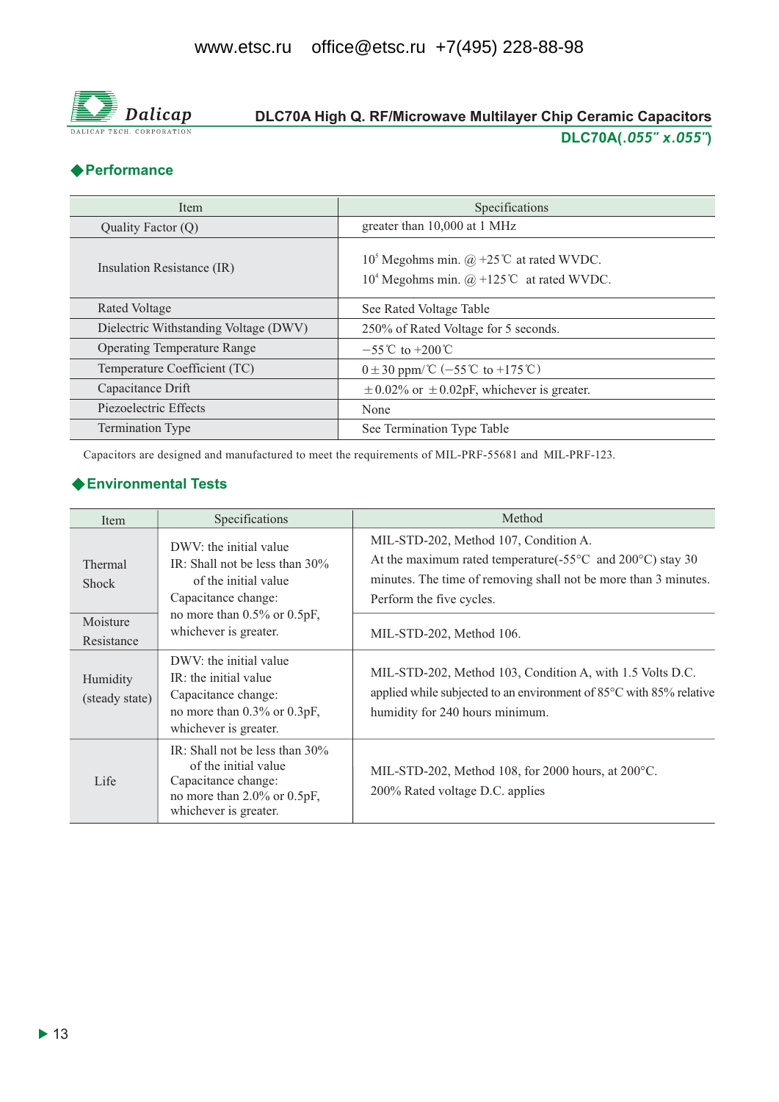

# DLC70A High Q. RF/Microwave Multilayer Chip Ceramic Capacitors DLC70A(.055" x.055")

## ◆ Performance

| Item                                  | Specifications                                                                                                               |
|---------------------------------------|------------------------------------------------------------------------------------------------------------------------------|
| Quality Factor (Q)                    | greater than 10,000 at 1 MHz                                                                                                 |
| Insulation Resistance (IR)            | 10 <sup>5</sup> Megohms min. @ +25 <sup>°</sup> C at rated WVDC.<br>10 <sup>4</sup> Megohms min. $@ + 125$ °C at rated WVDC. |
| Rated Voltage                         | See Rated Voltage Table                                                                                                      |
| Dielectric Withstanding Voltage (DWV) | 250% of Rated Voltage for 5 seconds.                                                                                         |
| <b>Operating Temperature Range</b>    | $-55^{\circ}$ C to +200 °C                                                                                                   |
| Temperature Coefficient (TC)          | $0 \pm 30$ ppm/°C (-55°C to +175°C)                                                                                          |
| Capacitance Drift                     | $\pm$ 0.02% or $\pm$ 0.02pF, whichever is greater.                                                                           |
| Piezoelectric Effects                 | None                                                                                                                         |
| <b>Termination Type</b>               | See Termination Type Table                                                                                                   |

Capacitors are designed and manufactured to meet the requirements of MIL-PRF-55681 and MIL-PRF-123.

## ◆ Environmental Tests

| Item                           | Specifications                                                                                                                                 | Method                                                                                                                                                                                                                 |  |  |  |  |  |
|--------------------------------|------------------------------------------------------------------------------------------------------------------------------------------------|------------------------------------------------------------------------------------------------------------------------------------------------------------------------------------------------------------------------|--|--|--|--|--|
| <b>Thermal</b><br><b>Shock</b> | DWV: the initial value<br>IR: Shall not be less than $30\%$<br>of the initial value<br>Capacitance change:                                     | MIL-STD-202, Method 107, Condition A.<br>At the maximum rated temperature( $-55^{\circ}$ C and $200^{\circ}$ C) stay 30<br>minutes. The time of removing shall not be more than 3 minutes.<br>Perform the five cycles. |  |  |  |  |  |
| Moisture<br>Resistance         | no more than 0.5% or 0.5pF,<br>whichever is greater.                                                                                           | MIL-STD-202, Method 106.                                                                                                                                                                                               |  |  |  |  |  |
| Humidity<br>(steady state)     | DWV: the initial value<br>IR: the initial value<br>Capacitance change:<br>no more than 0.3% or 0.3pF,<br>whichever is greater.                 | MIL-STD-202, Method 103, Condition A, with 1.5 Volts D.C.<br>applied while subjected to an environment of 85°C with 85% relative<br>humidity for 240 hours minimum.                                                    |  |  |  |  |  |
| Life                           | IR: Shall not be less than $30\%$<br>of the initial value<br>Capacitance change:<br>no more than $2.0\%$ or $0.5pF$ ,<br>whichever is greater. | MIL-STD-202, Method 108, for 2000 hours, at $200^{\circ}$ C.<br>200% Rated voltage D.C. applies                                                                                                                        |  |  |  |  |  |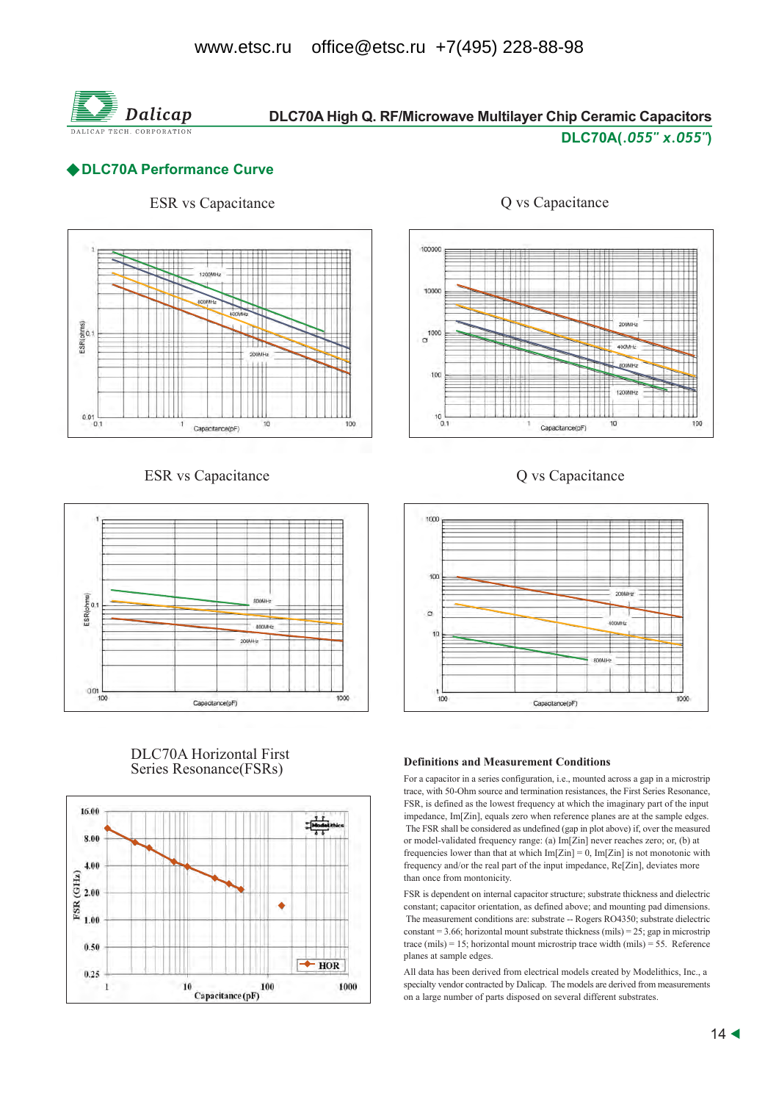

# DLC70A High Q. RF/Microwave Multilayer Chip Ceramic Capacitors

#### DLC70A(.055" x.055")

#### ◆DLC70A Performance Curve

## **ESR** vs Capacitance



#### **ESR** vs Capacitance



#### **DLC70A Horizontal First** Series Resonance(FSRs)





#### Q vs Capacitance



#### **Definitions and Measurement Conditions**

For a capacitor in a series configuration, i.e., mounted across a gap in a microstrip trace, with 50-Ohm source and termination resistances, the First Series Resonance, FSR, is defined as the lowest frequency at which the imaginary part of the input impedance, Im[Zin], equals zero when reference planes are at the sample edges. The FSR shall be considered as undefined (gap in plot above) if, over the measured or model-validated frequency range: (a) Im[Zin] never reaches zero; or, (b) at frequencies lower than that at which  $Im[Zin] = 0$ ,  $Im[Zin]$  is not monotonic with frequency and/or the real part of the input impedance, Re[Zin], deviates more than once from montonicity.

FSR is dependent on internal capacitor structure; substrate thickness and dielectric constant; capacitor orientation, as defined above; and mounting pad dimensions. The measurement conditions are: substrate -- Rogers RO4350; substrate dielectric constant = 3.66; horizontal mount substrate thickness (mils) = 25; gap in microstrip trace (mils) = 15; horizontal mount microstrip trace width (mils) = 55. Reference planes at sample edges.

All data has been derived from electrical models created by Modelithics, Inc., a specialty vendor contracted by Dalicap. The models are derived from measurements on a large number of parts disposed on several different substrates.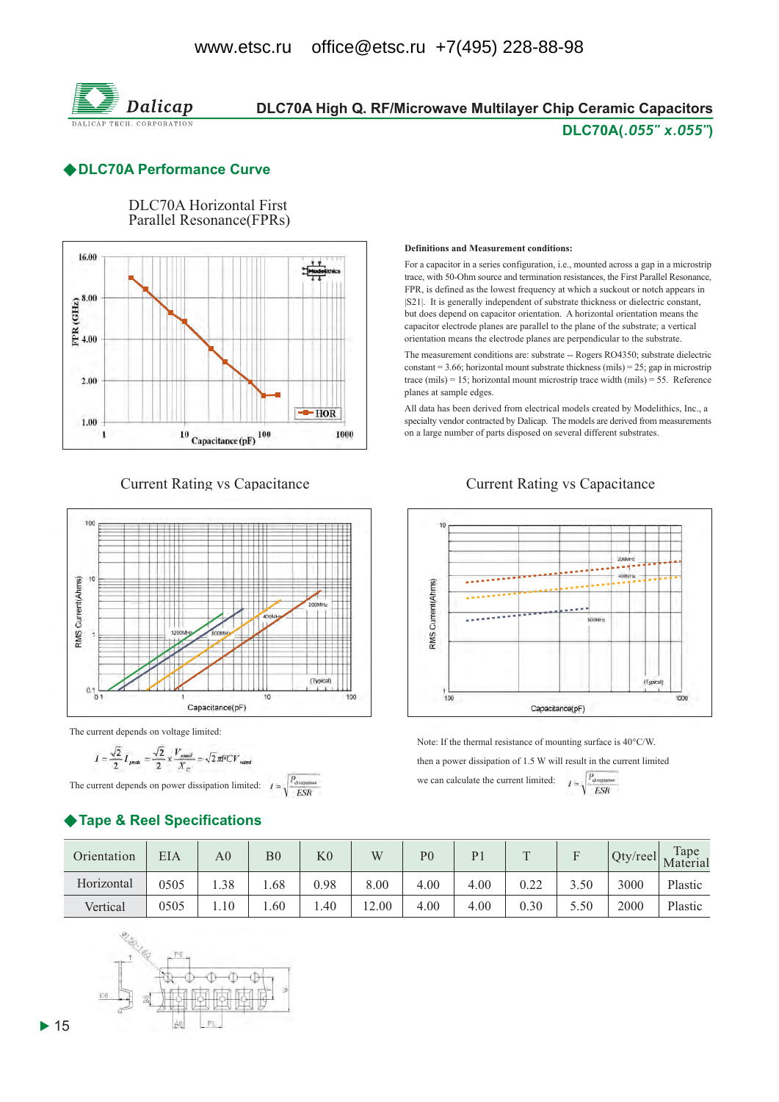

## DLC70A High Q. RF/Microwave Multilayer Chip Ceramic Capacitors DLC70A(.055" x.055")

#### ◆DLC70A Performance Curve



**DLC70A Horizontal First** 

#### **Current Rating vs Capacitance**



The current depends on voltage limited:

$$
I = \frac{\sqrt{2}}{2} I_{peak} = \frac{\sqrt{2}}{2} \times \frac{V_{rand}}{X_C} = \sqrt{2} \pi \text{FCV}_{rad}
$$

The current depends on power dissipation limited:  $l =$ 

## Tape & Reel Specifications

#### Definitions and Measurement conditions.

For a capacitor in a series configuration, i.e., mounted across a gap in a microstrip trace, with 50-Ohm source and termination resistances, the First Parallel Resonance, FPR, is defined as the lowest frequency at which a suckout or notch appears in [S21]. It is generally independent of substrate thickness or dielectric constant, but does depend on capacitor orientation. A horizontal orientation means the capacitor electrode planes are parallel to the plane of the substrate; a vertical orientation means the electrode planes are perpendicular to the substrate.

The measurement conditions are: substrate -- Rogers RO4350; substrate dielectric constant = 3.66; horizontal mount substrate thickness (mils) = 25; gap in microstrip trace (mils) = 15; horizontal mount microstrip trace width (mils) = 55. Reference planes at sample edges.

All data has been derived from electrical models created by Modelithics, Inc., a specialty vendor contracted by Dalicap. The models are derived from measurements on a large number of parts disposed on several different substrates.

#### **Current Rating vs Capacitance**



Note: If the thermal resistance of mounting surface is  $40^{\circ}$ C/W. then a power dissipation of 1.5 W will result in the current limited we can calculate the current limit

$$
\text{ed:} \qquad I = \sqrt{\frac{P_{\text{downman}}}{ESR}}
$$

| Orientation | EIA  | A <sub>0</sub> | $\overline{\mathrm{B}0}$ | $_{\rm K0}$ | W     | P <sub>0</sub> | P <sub>1</sub> |      | $\blacksquare$ | $Qty$ /reel | Tape<br>Material |
|-------------|------|----------------|--------------------------|-------------|-------|----------------|----------------|------|----------------|-------------|------------------|
| Horizontal  | 0505 | 1.38           | .68                      | 0.98        | 8.00  | 4.00           | 4.00           | 0.22 | 3.50           | 3000        | Plastic          |
| Vertical    | 0505 | 1.10           | .60                      | .40         | 12.00 | 4.00           | 4.00           | 0.30 | 5.50           | 2000        | Plastic          |